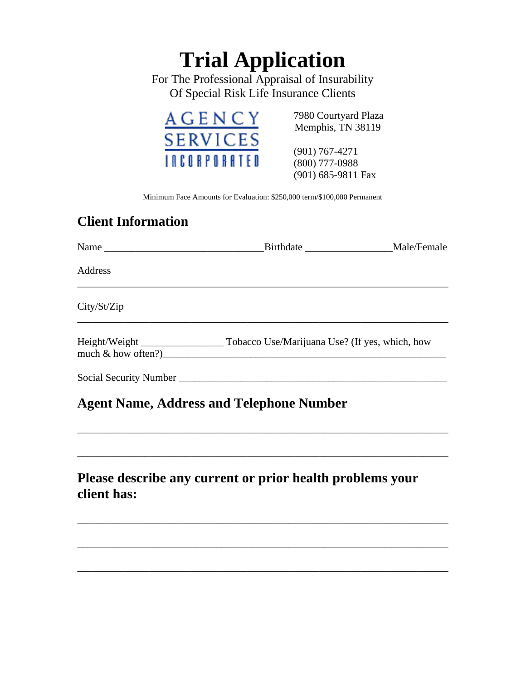# **Trial Application**

For The Professional Appraisal of Insurability Of Special Risk Life Insurance Clients



(901) 767-4271 (800) 777-0988 (901) 685-9811 Fax

Minimum Face Amounts for Evaluation: \$250,000 term/\$100,000 Permanent

## **Client Information**

| Address                                                                  |  |
|--------------------------------------------------------------------------|--|
| City/St/Zip                                                              |  |
| much $\&$ how often?)                                                    |  |
| <b>Agent Name, Address and Telephone Number</b>                          |  |
| Please describe any current or prior health problems your<br>client has: |  |

\_\_\_\_\_\_\_\_\_\_\_\_\_\_\_\_\_\_\_\_\_\_\_\_\_\_\_\_\_\_\_\_\_\_\_\_\_\_\_\_\_\_\_\_\_\_\_\_\_\_\_\_\_\_\_\_\_\_\_\_\_\_\_\_\_\_\_\_\_\_\_\_

\_\_\_\_\_\_\_\_\_\_\_\_\_\_\_\_\_\_\_\_\_\_\_\_\_\_\_\_\_\_\_\_\_\_\_\_\_\_\_\_\_\_\_\_\_\_\_\_\_\_\_\_\_\_\_\_\_\_\_\_\_\_\_\_\_\_\_\_\_\_\_\_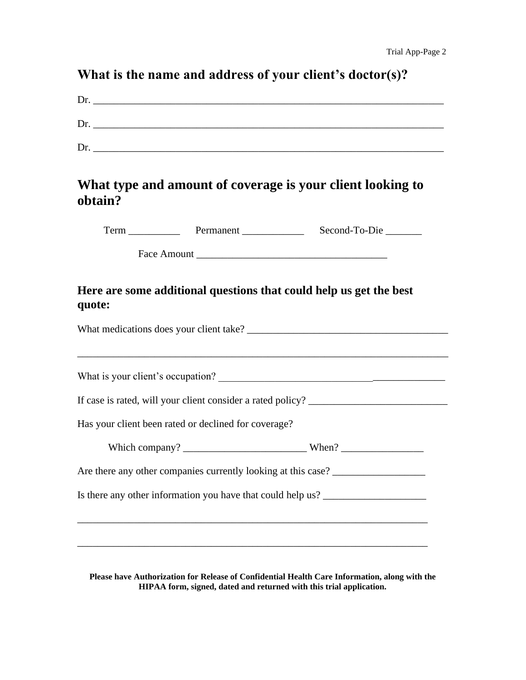## **What is the name and address of your client's doctor(s)?**

| Dr. |  |  |
|-----|--|--|
| Dr  |  |  |
| Dr  |  |  |

### **What type and amount of coverage is your client looking to obtain?**

| Ferm | Permanent | Second-To-Die |
|------|-----------|---------------|
|      |           |               |

Face Amount \_\_\_\_\_\_\_\_\_\_\_\_\_\_\_\_\_\_\_\_\_\_\_\_\_\_\_\_\_\_\_\_\_\_\_\_\_

#### **Here are some additional questions that could help us get the best quote:**

| What medications does your client take? |  |
|-----------------------------------------|--|
|                                         |  |

\_\_\_\_\_\_\_\_\_\_\_\_\_\_\_\_\_\_\_\_\_\_\_\_\_\_\_\_\_\_\_\_\_\_\_\_\_\_\_\_\_\_\_\_\_\_\_\_\_\_\_\_\_\_\_\_\_\_\_\_\_\_\_\_\_\_\_\_\_\_\_\_

What is your client's occupation?

If case is rated, will your client consider a rated policy? \_\_\_\_\_\_\_\_\_\_\_\_\_\_\_\_\_\_\_\_\_\_\_\_\_\_\_

Has your client been rated or declined for coverage?

| Which company? |  |
|----------------|--|
|                |  |

Are there any other companies currently looking at this case? \_\_\_\_\_\_\_\_\_\_\_\_\_\_\_\_\_\_\_

Is there any other information you have that could help us? \_\_\_\_\_\_\_\_\_\_\_\_\_\_\_\_\_\_\_\_

\_\_\_\_\_\_\_\_\_\_\_\_\_\_\_\_\_\_\_\_\_\_\_\_\_\_\_\_\_\_\_\_\_\_\_\_\_\_\_\_\_\_\_\_\_\_\_\_\_\_\_\_\_\_\_\_\_\_\_\_\_\_\_\_\_\_\_\_

**Please have Authorization for Release of Confidential Health Care Information, along with the HIPAA form, signed, dated and returned with this trial application.**

\_\_\_\_\_\_\_\_\_\_\_\_\_\_\_\_\_\_\_\_\_\_\_\_\_\_\_\_\_\_\_\_\_\_\_\_\_\_\_\_\_\_\_\_\_\_\_\_\_\_\_\_\_\_\_\_\_\_\_\_\_\_\_\_\_\_\_\_